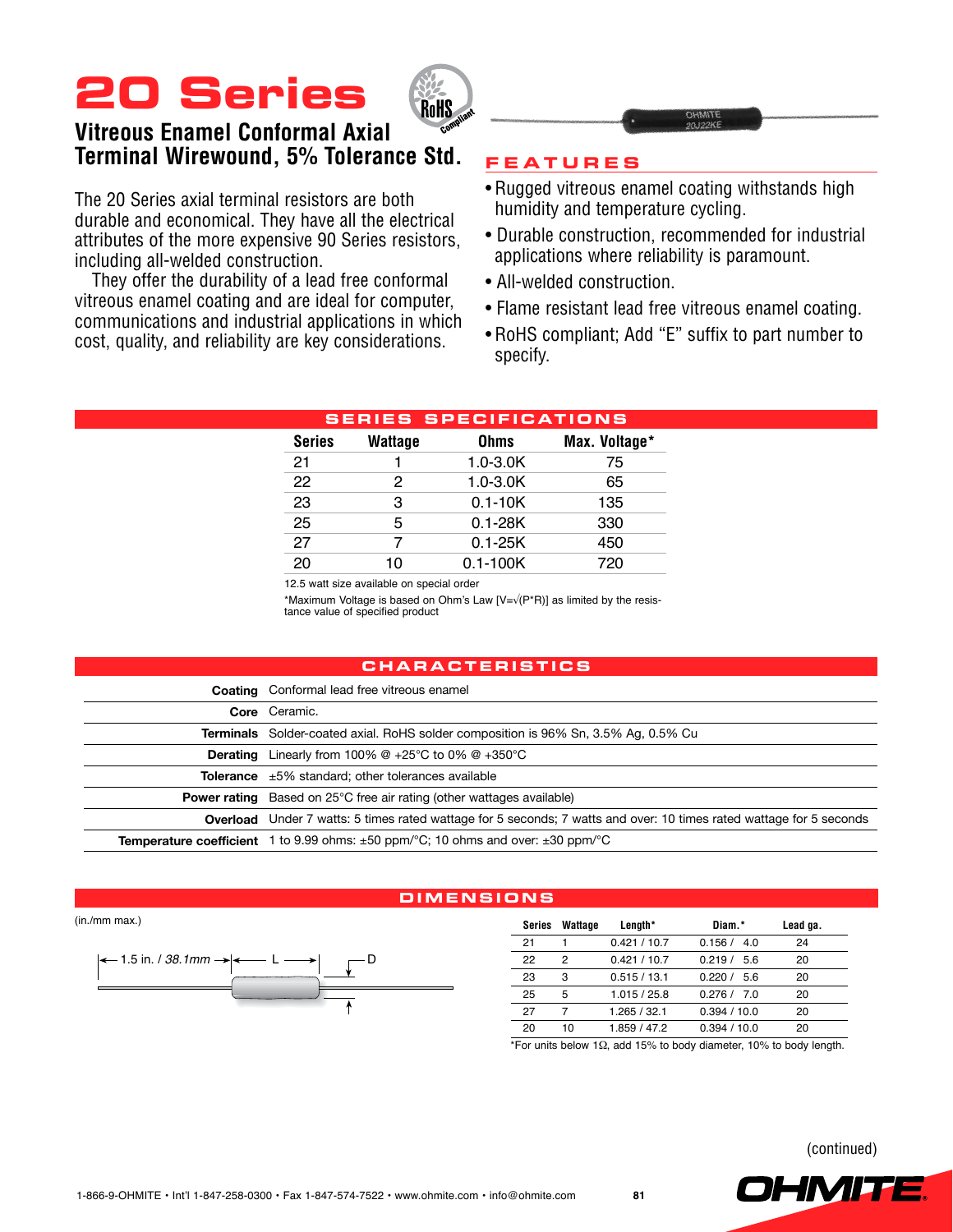# **20 Series**



## **Vitreous Enamel Conformal Axial Terminal Wirewound, 5% Tolerance Std.**

The 20 Series axial terminal resistors are both durable and economical. They have all the electrical attributes of the more expensive 90 Series resistors, including all-welded construction.

They offer the durability of a lead free conformal vitreous enamel coating and are ideal for computer, communications and industrial applications in which cost, quality, and reliability are key considerations.

### **Feature s**

- Rugged vitreous enamel coating withstands high humidity and temperature cycling.
- Durable construction, recommended for industrial applications where reliability is paramount.
- All-welded construction.
- Flame resistant lead free vitreous enamel coating.
- RoHS compliant; Add "E" suffix to part number to specify.

| <b>SERIES SPECIFICATIONS</b> |                |              |               |  |  |  |  |  |  |  |  |  |
|------------------------------|----------------|--------------|---------------|--|--|--|--|--|--|--|--|--|
| <b>Series</b>                | <b>Wattage</b> | <b>Ohms</b>  | Max. Voltage* |  |  |  |  |  |  |  |  |  |
| 21                           |                | $1.0 - 3.0K$ | 75            |  |  |  |  |  |  |  |  |  |
| 22                           | 2              | $1.0 - 3.0K$ | 65            |  |  |  |  |  |  |  |  |  |
| 23                           | 3              | $0.1 - 10K$  | 135           |  |  |  |  |  |  |  |  |  |
| 25                           | 5              | $0.1 - 28K$  | 330           |  |  |  |  |  |  |  |  |  |
| 27                           |                | $0.1 - 25K$  | 450           |  |  |  |  |  |  |  |  |  |
| 20                           | 10             | $0.1 - 100K$ | 720           |  |  |  |  |  |  |  |  |  |
|                              |                |              |               |  |  |  |  |  |  |  |  |  |

12.5 watt size available on special order

\*Maximum Voltage is based on Ohm's Law [V=√(P\*R)] as limited by the resis- tance value of specified product

#### **Chara c teri s t i cs**

|          | <b>Coating</b> Conformal lead free vitreous enamel                                                                         |
|----------|----------------------------------------------------------------------------------------------------------------------------|
|          | Core Ceramic.                                                                                                              |
|          | <b>Terminals</b> Solder-coated axial. RoHS solder composition is 96% Sn, 3.5% Ag, 0.5% Cu                                  |
| Derating | Linearly from 100% $@+25^{\circ}C$ to 0% $@+350^{\circ}C$                                                                  |
|          | <b>Tolerance</b> $\pm 5\%$ standard; other tolerances available                                                            |
|          | <b>Power rating</b> Based on 25°C free air rating (other wattages available)                                               |
|          | <b>Overload</b> Under 7 watts: 5 times rated wattage for 5 seconds; 7 watts and over: 10 times rated wattage for 5 seconds |
|          | <b>Temperature coefficient</b> 1 to 9.99 ohms: $\pm 50$ ppm/°C; 10 ohms and over: $\pm 30$ ppm/°C                          |

#### **Dimen s ion s**

(in./mm max.)



| Series | Wattage | Length*      | Diam.*      | Lead ga. |
|--------|---------|--------------|-------------|----------|
| 21     |         | 0.421 / 10.7 | 0.156 / 4.0 | 24       |
| 22     | 2       | 0.421 / 10.7 | 0.219 / 56  | 20       |
| 23     | з       | 0.515/13.1   | 0220/56     | 20       |
| 25     | 5       | 1.015/25.8   | 0.276 / 7.0 | 20       |
| 27     | 7       | 1.265 / 32.1 | 0.394/10.0  | 20       |
| 20     | 10      | 1.859 / 47.2 | 0.394/10.0  | 20       |

\*For units below 1Ω, add 15% to body diameter, 10% to body length.

(continued)

OHMIT